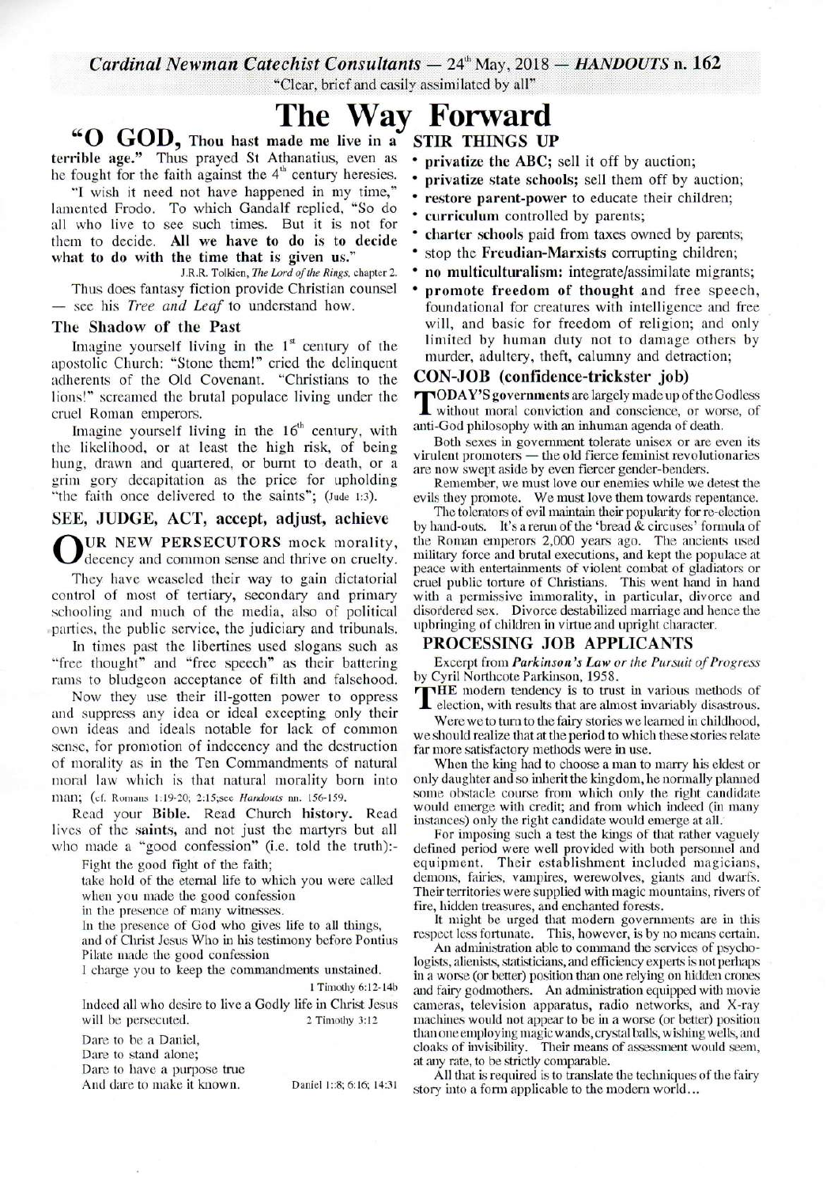Cardinal Newman Catechist Consultants  $-24^{\circ}$  May, 2018  $-$  HANDOUTS n. 162

"Clear, brief and easily assimilated by all"

## The Way Forward

"O GOD, Thou hast made me live in a terrible age." Thus prayed St Athanatius, even as he fought for the faith against the  $4<sup>th</sup>$  century heresies.

"I wish it need not have happened in my time," lamented Frodo. To which Gandalf replied, "So do all who live to see such times. But it is not for them to decide. All we have to do is to decide what to do with the time that is given us."

J.R.R. Tolkien, The Lord of the Rings, chapter 2.

Thus does fantasy fiction provide Christian counsel - see his *Tree and Leaf* to understand how.

#### The Shadow of the Past

Imagine yourself living in the  $1<sup>st</sup>$  century of the apostolic Church: "Stone them!" cried the delinquent adherents of the Old Covenant. "Christians to the lions!" screamed the brutal populace living under the cruel Roman emperors.

Imagine yourself living in the  $16<sup>th</sup>$  century, with the likelihood, or at least the high risk, of being hung, drawn and quartered, or burnt to death, or a grim gory decapitation as the price for upholding "the faith once delivered to the saints"; (Jude 1:3).

### SEE, JUDGE, ACT, accept, adjust, achieve

UR NEW PERSECUTORS mock morality, decency and common sense and thrive on cruelty.

They have weaseled their way to gain dictatorial control of most of tertiary, secondary and primary schooling and much of the media, also of political parties, the public service, the judiciary and tribunals.

In times past the libertines used slogans such as "free thought" and "free speech" as their battering rams to bludgeon acceptance of filth and falsehood.

Now they use their ill-gotten power to oppress and suppress any idea or ideal excepting only their own ideas and ideals notable for lack of common sense, for promotion of indecency and the destruction of morality as in the Ten Commandments of natural moral law which is that natural morality born into man: (cf. Romans 1:19-20; 2:15; see Handouts nn. 156-159.

Read your Bible. Read Church history. Read lives of the saints, and not just the martyrs but all who made a "good confession" (i.e. told the truth):-

Fight the good fight of the faith;

take hold of the eternal life to which you were called when you made the good confession

in the presence of many witnesses.

In the presence of God who gives life to all things, and of Christ Jesus Who in his testimony before Pontius Pilate made the good confession

I charge you to keep the commandments unstained.

1 Timothy 6:12-14b

Indeed all who desire to live a Godly life in Christ Jesus will be persecuted. 2 Timothy 3:12

Dare to be a Daniel,

Dare to stand alone;

Dare to have a purpose true

And dare to make it known.

Daniel 1::8; 6:16; 14:31

**STIR THINGS UP** 

- privatize the ABC; sell it off by auction;
- privatize state schools; sell them off by auction;
- restore parent-power to educate their children:
- curriculum controlled by parents;
- charter schools paid from taxes owned by parents;
- stop the Freudian-Marxists corrupting children;
- no multiculturalism: integrate/assimilate migrants;
- promote freedom of thought and free speech, foundational for creatures with intelligence and free will, and basic for freedom of religion; and only limited by human duty not to damage others by murder, adultery, theft, calumny and detraction;

#### CON-JOB (confidence-trickster job)

TODAY'S governments are largely made up of the Godless<br>without moral conviction and conscience, or worse, of anti-God philosophy with an inhuman agenda of death.

Both sexes in government tolerate unisex or are even its virulent promoters — the old fierce feminist revolutionaries are now swept aside by even fiercer gender-benders.

Remember, we must love our enemies while we detest the evils they promote. We must love them towards repentance.

The tolerators of evil maintain their popularity for re-election by hand-outs. It's a rerun of the 'bread  $&$  circuses' formula of the Roman emperors 2,000 years ago. The ancients used military force and brutal executions, and kept the populace at peace with entertainments of violent combat of gladiators or cruel public torture of Christians. This went hand in hand with a permissive immorality, in particular, divorce and disordered sex. Divorce destabilized marriage and hence the upbringing of children in virtue and upright character.

#### PROCESSING JOB APPLICANTS

Excerpt from *Parkinson's Law or the Pursuit of Progress* by Cyril Northcote Parkinson, 1958.

THE modern tendency is to trust in various methods of election, with results that are almost invariably disastrous.

Were we to turn to the fairy stories we learned in childhood. we should realize that at the period to which these stories relate far more satisfactory methods were in use.

When the king had to choose a man to marry his eldest or only daughter and so inherit the kingdom, he normally planned some obstacle course from which only the right candidate would emerge with credit; and from which indeed (in many instances) only the right candidate would emerge at all.

For imposing such a test the kings of that rather vaguely defined period were well provided with both personnel and Their establishment included magicians, equipment. demons, fairies, vampires, werewolves, giants and dwarfs. Their territories were supplied with magic mountains, rivers of fire, hidden treasures, and enchanted forests.

It might be urged that modern governments are in this respect less fortunate. This, however, is by no means certain.

An administration able to command the services of psychologists, alienists, statisticians, and efficiency experts is not perhaps in a worse (or better) position than one relying on hidden crones and fairy godmothers. An administration equipped with movie cameras, television apparatus, radio networks, and X-ray machines would not appear to be in a worse (or better) position than one employing magic wands, crystal balls, wishing wells, and cloaks of invisibility. Their means of assessment would seem, at any rate, to be strictly comparable.

All that is required is to translate the techniques of the fairy story into a form applicable to the modern world...